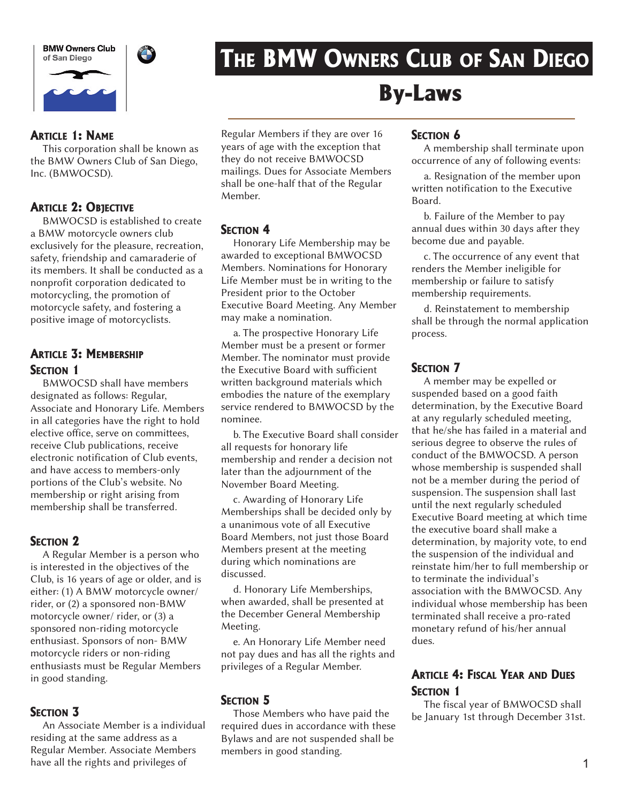**BMW Owners Club** of San Diego





# THE BMW OWNERS CLUB OF SAN DIEGO

#### ARTICLE 1: NAME

This corporation shall be known as the BMW Owners Club of San Diego, Inc. (BMWOCSD).

#### **ARTICLE 2: OBJECTIVE**

BMWOCSD is established to create a BMW motorcycle owners club exclusively for the pleasure, recreation, safety, friendship and camaraderie of its members. It shall be conducted as a nonprofit corporation dedicated to motorcycling, the promotion of motorcycle safety, and fostering a positive image of motorcyclists.

# ARTICLE 3: MEMBERSHIP **SECTION 1**

BMWOCSD shall have members designated as follows: Regular, Associate and Honorary Life. Members in all categories have the right to hold elective office, serve on committees. receive Club publications, receive electronic notification of Club events, and have access to members-only portions of the Club's website. No membership or right arising from membership shall be transferred.

#### **SECTION 2**

A Regular Member is a person who is interested in the objectives of the Club, is 16 years of age or older, and is either: (1) A BMW motorcycle owner/ rider, or (2) a sponsored non-BMW motorcycle owner/ rider, or (3) a sponsored non-riding motorcycle enthusiast. Sponsors of non- BMW motorcycle riders or non-riding enthusiasts must be Regular Members in good standing.

#### SECTION 3

An Associate Member is a individual residing at the same address as a Regular Member. Associate Members have all the rights and privileges of

Regular Members if they are over 16 years of age with the exception that they do not receive BMWOCSD mailings. Dues for Associate Members shall be one-half that of the Regular Member.

# **SECTION 4**

Honorary Life Membership may be awarded to exceptional BMWOCSD Members. Nominations for Honorary Life Member must be in writing to the President prior to the October Executive Board Meeting. Any Member may make a nomination.

a. The prospective Honorary Life Member must be a present or former Member. The nominator must provide the Executive Board with sufficient written background materials which embodies the nature of the exemplary service rendered to BMWOCSD by the nominee.

b. The Executive Board shall consider all requests for honorary life membership and render a decision not later than the adjournment of the November Board Meeting.

c. Awarding of Honorary Life Memberships shall be decided only by a unanimous vote of all Executive Board Members, not just those Board Members present at the meeting during which nominations are discussed.

d. Honorary Life Memberships, when awarded, shall be presented at the December General Membership Meeting.

e. An Honorary Life Member need not pay dues and has all the rights and privileges of a Regular Member.

# SECTION 5

Those Members who have paid the required dues in accordance with these Bylaws and are not suspended shall be members in good standing.

# **SECTION 6**

By-Laws

A membership shall terminate upon occurrence of any of following events:

a. Resignation of the member upon written notification to the Executive Board.

b. Failure of the Member to pay annual dues within 30 days after they become due and payable.

c. The occurrence of any event that renders the Member ineligible for membership or failure to satisfy membership requirements.

d. Reinstatement to membership shall be through the normal application process.

#### **SECTION 7**

A member may be expelled or suspended based on a good faith determination, by the Executive Board at any regularly scheduled meeting, that he/she has failed in a material and serious degree to observe the rules of conduct of the BMWOCSD. A person whose membership is suspended shall not be a member during the period of suspension. The suspension shall last until the next regularly scheduled Executive Board meeting at which time the executive board shall make a determination, by majority vote, to end the suspension of the individual and reinstate him/her to full membership or to terminate the individual's association with the BMWOCSD. Any individual whose membership has been terminated shall receive a pro-rated monetary refund of his/her annual dues.

# **ARTICLE 4: FISCAL YEAR AND DUES SECTION 1**

The fiscal year of BMWOCSD shall be January 1st through December 31st.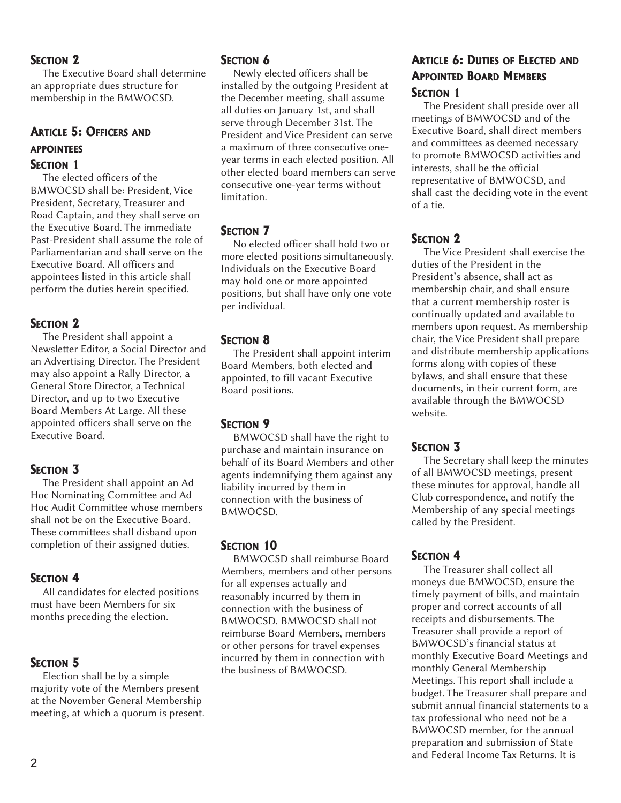#### SECTION<sub>2</sub>

The Executive Board shall determine an appropriate dues structure for membership in the BMWOCSD.

# ARTICLE 5: OFFICERS AND APPOINTEES SECTION 1

The elected officers of the BMWOCSD shall be: President, Vice President, Secretary, Treasurer and Road Captain, and they shall serve on the Executive Board. The immediate Past-President shall assume the role of Parliamentarian and shall serve on the Executive Board. All officers and appointees listed in this article shall perform the duties herein specified.

#### **SECTION 2**

The President shall appoint a Newsletter Editor, a Social Director and an Advertising Director. The President may also appoint a Rally Director, a General Store Director, a Technical Director, and up to two Executive Board Members At Large. All these appointed officers shall serve on the Executive Board.

#### **SECTION 3**

The President shall appoint an Ad Hoc Nominating Committee and Ad Hoc Audit Committee whose members shall not be on the Executive Board. These committees shall disband upon completion of their assigned duties.

#### SECTION 4

All candidates for elected positions must have been Members for six months preceding the election.

#### **SECTION 5**

Election shall be by a simple majority vote of the Members present at the November General Membership meeting, at which a quorum is present.

#### SECTION 6

Newly elected officers shall be installed by the outgoing President at the December meeting, shall assume all duties on January 1st, and shall serve through December 31st. The President and Vice President can serve a maximum of three consecutive oneyear terms in each elected position. All other elected board members can serve consecutive one-year terms without limitation.

# **SECTION 7**

No elected officer shall hold two or more elected positions simultaneously. Individuals on the Executive Board may hold one or more appointed positions, but shall have only one vote per individual.

#### **SECTION 8**

The President shall appoint interim Board Members, both elected and appointed, to fill vacant Executive Board positions.

#### **SECTION 9**

BMWOCSD shall have the right to purchase and maintain insurance on behalf of its Board Members and other agents indemnifying them against any liability incurred by them in connection with the business of BMWOCSD.

#### SECTION 10

BMWOCSD shall reimburse Board Members, members and other persons for all expenses actually and reasonably incurred by them in connection with the business of BMWOCSD. BMWOCSD shall not reimburse Board Members, members or other persons for travel expenses incurred by them in connection with the business of BMWOCSD.

#### ARTICLE 6: DUTIES OF ELECTED AND APPOINTED BOARD MEMBERS SECTION 1

The President shall preside over all meetings of BMWOCSD and of the Executive Board, shall direct members and committees as deemed necessary to promote BMWOCSD activities and interests, shall be the official representative of BMWOCSD, and shall cast the deciding vote in the event of a tie.

#### SECTION 2

The Vice President shall exercise the duties of the President in the President's absence, shall act as membership chair, and shall ensure that a current membership roster is continually updated and available to members upon request. As membership chair, the Vice President shall prepare and distribute membership applications forms along with copies of these bylaws, and shall ensure that these documents, in their current form, are available through the BMWOCSD website.

# **SECTION 3**

The Secretary shall keep the minutes of all BMWOCSD meetings, present these minutes for approval, handle all Club correspondence, and notify the Membership of any special meetings called by the President.

# SECTION<sub>4</sub>

The Treasurer shall collect all moneys due BMWOCSD, ensure the timely payment of bills, and maintain proper and correct accounts of all receipts and disbursements. The Treasurer shall provide a report of BMWOCSD's financial status at monthly Executive Board Meetings and monthly General Membership Meetings. This report shall include a budget. The Treasurer shall prepare and submit annual financial statements to a tax professional who need not be a BMWOCSD member, for the annual preparation and submission of State and Federal Income Tax Returns. It is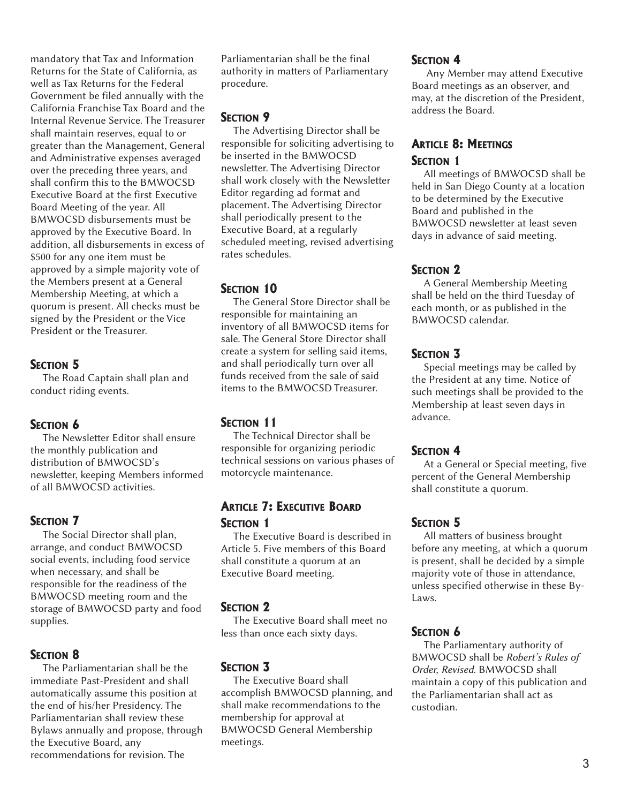mandatory that Tax and Information Returns for the State of California, as well as Tax Returns for the Federal Government be filed annually with the California Franchise Tax Board and the Internal Revenue Service. The Treasurer shall maintain reserves, equal to or greater than the Management, General and Administrative expenses averaged over the preceding three years, and shall confirm this to the BMWOCSD Executive Board at the first Executive Board Meeting of the year. All BMWOCSD disbursements must be approved by the Executive Board. In addition, all disbursements in excess of \$500 for any one item must be approved by a simple majority vote of the Members present at a General Membership Meeting, at which a quorum is present. All checks must be signed by the President or the Vice President or the Treasurer.

#### SECTION 5

The Road Captain shall plan and conduct riding events.

#### SECTION 6

The Newsletter Editor shall ensure the monthly publication and distribution of BMWOCSD's newsletter, keeping Members informed of all BMWOCSD activities.

#### **SECTION 7**

The Social Director shall plan, arrange, and conduct BMWOCSD social events, including food service when necessary, and shall be responsible for the readiness of the BMWOCSD meeting room and the storage of BMWOCSD party and food supplies.

#### **SECTION 8**

The Parliamentarian shall be the immediate Past-President and shall automatically assume this position at the end of his/her Presidency. The Parliamentarian shall review these Bylaws annually and propose, through the Executive Board, any recommendations for revision. The

Parliamentarian shall be the final authority in matters of Parliamentary procedure.

#### SECTION<sub>9</sub>

The Advertising Director shall be responsible for soliciting advertising to be inserted in the BMWOCSD newsletter. The Advertising Director shall work closely with the Newsletter Editor regarding ad format and placement. The Advertising Director shall periodically present to the Executive Board, at a regularly scheduled meeting, revised advertising rates schedules.

# SECTION 10

The General Store Director shall be responsible for maintaining an inventory of all BMWOCSD items for sale. The General Store Director shall create a system for selling said items, and shall periodically turn over all funds received from the sale of said items to the BMWOCSD Treasurer.

#### SECTION 11

The Technical Director shall be responsible for organizing periodic technical sessions on various phases of motorcycle maintenance.

# ARTICLE 7: EXECUTIVE BOARD SECTION 1

The Executive Board is described in Article 5. Five members of this Board shall constitute a quorum at an Executive Board meeting.

#### SECTION<sub>2</sub>

The Executive Board shall meet no less than once each sixty days.

#### SECTION 3

The Executive Board shall accomplish BMWOCSD planning, and shall make recommendations to the membership for approval at BMWOCSD General Membership meetings.

#### SECTION 4

Any Member may attend Executive Board meetings as an observer, and may, at the discretion of the President, address the Board.

#### ARTICLE 8: MEETINGS SECTION 1

All meetings of BMWOCSD shall be held in San Diego County at a location to be determined by the Executive Board and published in the BMWOCSD newsletter at least seven days in advance of said meeting.

#### SECTION<sub>2</sub>

A General Membership Meeting shall be held on the third Tuesday of each month, or as published in the BMWOCSD calendar.

#### **SECTION 3**

Special meetings may be called by the President at any time. Notice of such meetings shall be provided to the Membership at least seven days in advance.

#### **SECTION 4**

At a General or Special meeting, five percent of the General Membership shall constitute a quorum.

#### **SECTION 5**

All matters of business brought before any meeting, at which a quorum is present, shall be decided by a simple majority vote of those in attendance, unless specified otherwise in these By-Laws.

#### SECTION 6

The Parliamentary authority of BMWOCSD shall be Robert's Rules of Order, Revised. BMWOCSD shall maintain a copy of this publication and the Parliamentarian shall act as custodian.